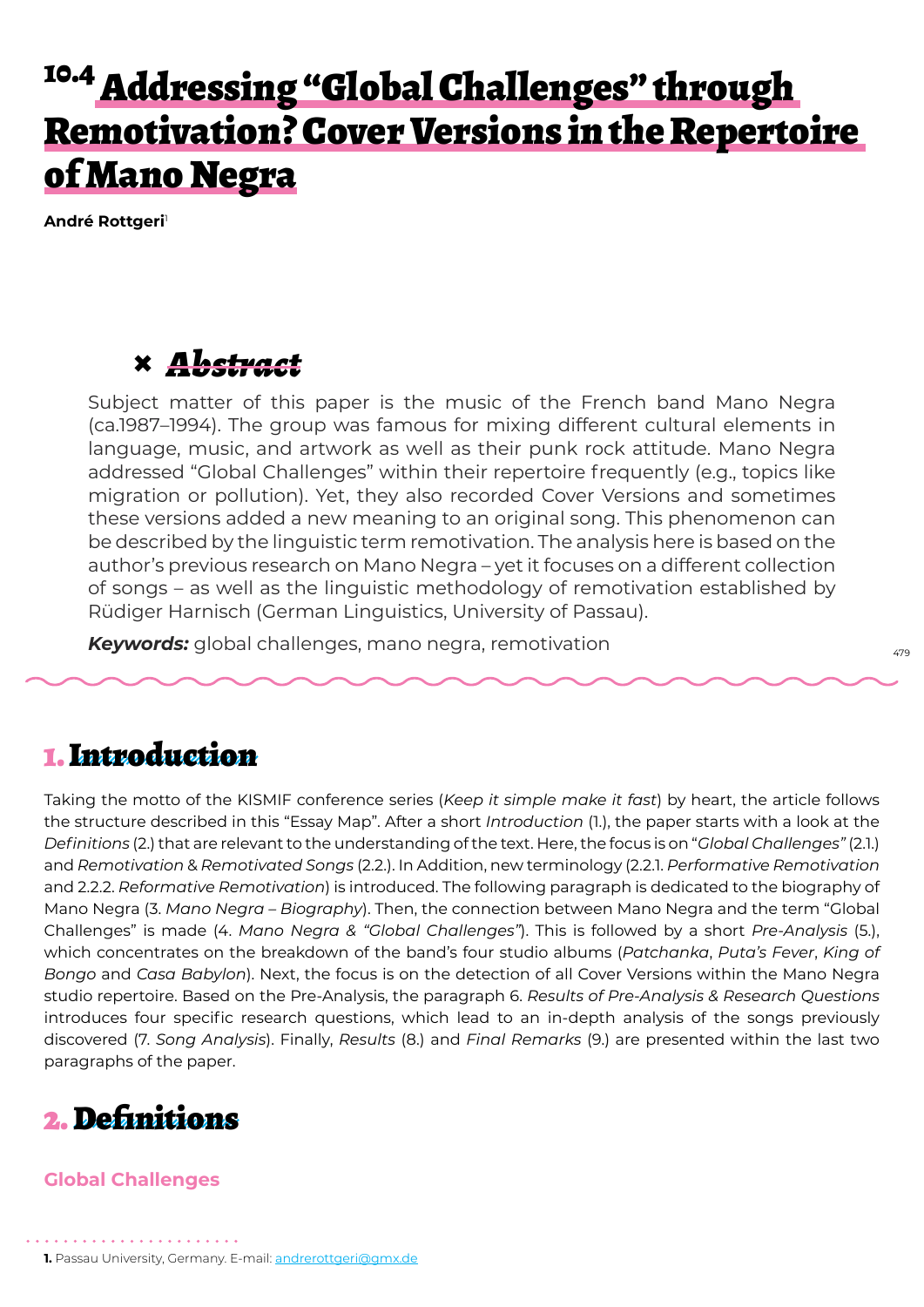# <sup>10.4</sup> Addressing "Global Challenges" through Remotivation? Cover Versions in the Repertoire of Mano Negra

**André Rottgeri**<sup>1</sup>

# **×** *Abstract*

Subject matter of this paper is the music of the French band Mano Negra (ca.1987–1994). The group was famous for mixing different cultural elements in language, music, and artwork as well as their punk rock attitude. Mano Negra addressed "Global Challenges" within their repertoire frequently (e.g., topics like migration or pollution). Yet, they also recorded Cover Versions and sometimes these versions added a new meaning to an original song. This phenomenon can be described by the linguistic term remotivation. The analysis here is based on the author's previous research on Mano Negra – yet it focuses on a different collection of songs – as well as the linguistic methodology of remotivation established by Rüdiger Harnisch (German Linguistics, University of Passau).

*Keywords:* global challenges, mano negra, remotivation

### 1. Introduction

Taking the motto of the KISMIF conference series (*Keep it simple make it fast*) by heart, the article follows the structure described in this "Essay Map". After a short *Introduction* (1.), the paper starts with a look at the *Definitions* (2.) that are relevant to the understanding of the text. Here, the focus is on "*Global Challenges"* (2.1.) and *Remotivation* & *Remotivated Songs* (2.2.). In Addition, new terminology (2.2.1. *Performative Remotivation*  and 2.2.2. *Reformative Remotivation*) is introduced. The following paragraph is dedicated to the biography of Mano Negra (3. *Mano Negra – Biography*). Then, the connection between Mano Negra and the term "Global Challenges" is made (4. *Mano Negra & "Global Challenges"*). This is followed by a short *Pre-Analysis* (5.), which concentrates on the breakdown of the band's four studio albums (*Patchanka*, *Puta's Fever*, *King of Bongo* and *Casa Babylon*). Next, the focus is on the detection of all Cover Versions within the Mano Negra studio repertoire. Based on the Pre-Analysis, the paragraph 6. *Results of Pre-Analysis & Research Questions* introduces four specific research questions, which lead to an in-depth analysis of the songs previously discovered (7. *Song Analysis*). Finally, *Results* (8.) and *Final Remarks* (9.) are presented within the last two paragraphs of the paper.



### **Global Challenges**

. . . . . . . . . . . . . . . . . .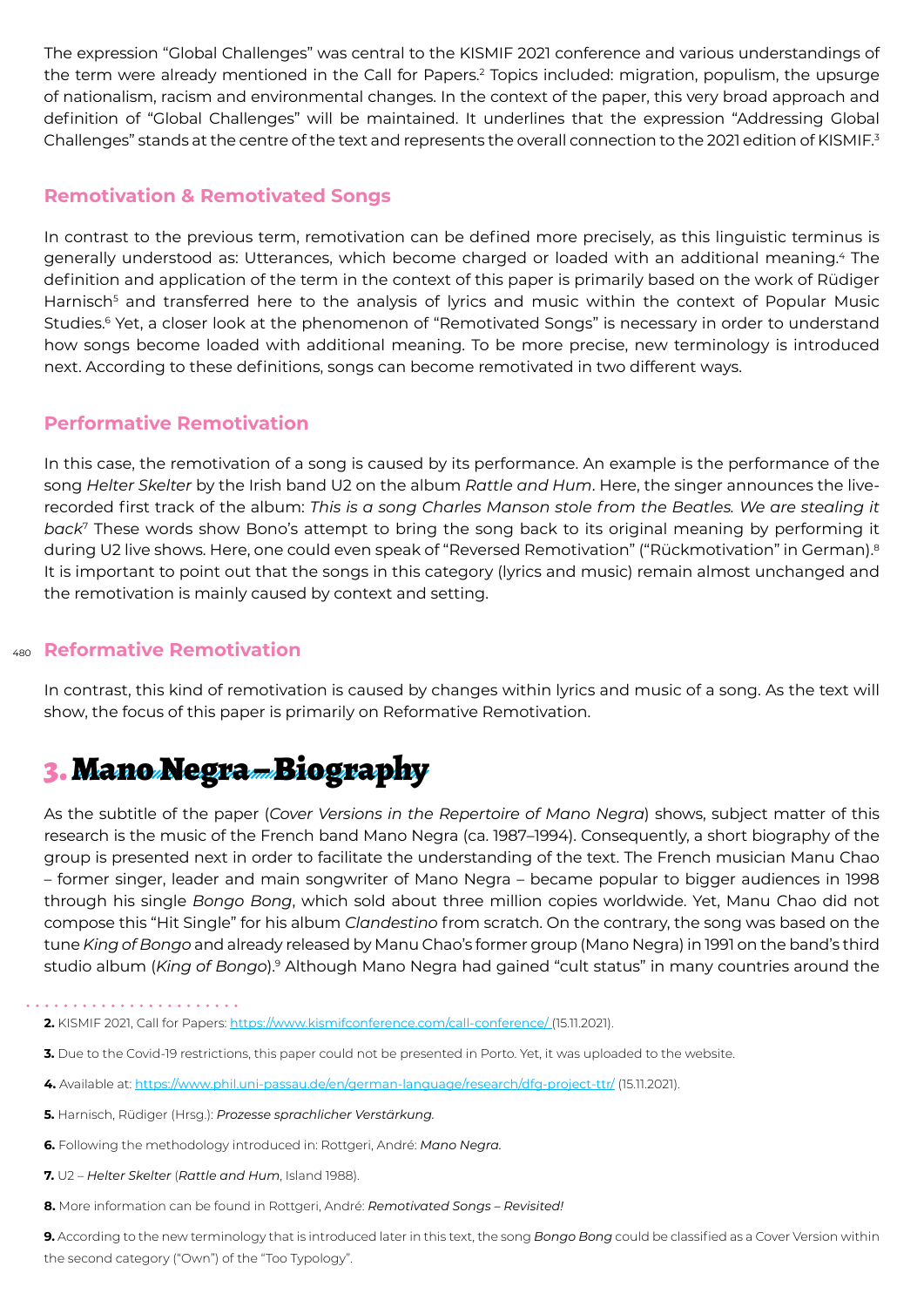The expression "Global Challenges" was central to the KISMIF 2021 conference and various understandings of the term were already mentioned in the Call for Papers.<sup>2</sup> Topics included: migration, populism, the upsurge of nationalism, racism and environmental changes. In the context of the paper, this very broad approach and definition of "Global Challenges" will be maintained. It underlines that the expression "Addressing Global Challenges" stands at the centre of the text and represents the overall connection to the 2021 edition of KISMIF.<sup>3</sup>

### **Remotivation & Remotivated Songs**

In contrast to the previous term, remotivation can be defined more precisely, as this linguistic terminus is generally understood as: Utterances, which become charged or loaded with an additional meaning.4 The definition and application of the term in the context of this paper is primarily based on the work of Rüdiger Harnisch<sup>5</sup> and transferred here to the analysis of lyrics and music within the context of Popular Music Studies.<sup>6</sup> Yet, a closer look at the phenomenon of "Remotivated Songs" is necessary in order to understand how songs become loaded with additional meaning. To be more precise, new terminology is introduced next. According to these definitions, songs can become remotivated in two different ways.

### **Performative Remotivation**

In this case, the remotivation of a song is caused by its performance. An example is the performance of the song *Helter Skelter* by the Irish band U2 on the album *Rattle and Hum*. Here, the singer announces the liverecorded first track of the album: *This is a song Charles Manson stole from the Beatles. We are stealing it back*7 These words show Bono's attempt to bring the song back to its original meaning by performing it during U2 live shows. Here, one could even speak of "Reversed Remotivation" ("Rückmotivation" in German).<sup>8</sup> It is important to point out that the songs in this category (lyrics and music) remain almost unchanged and the remotivation is mainly caused by context and setting.

### 480 **Reformative Remotivation**

In contrast, this kind of remotivation is caused by changes within lyrics and music of a song. As the text will show, the focus of this paper is primarily on Reformative Remotivation.

# 3. Mano Negra – Biography

As the subtitle of the paper (*Cover Versions in the Repertoire of Mano Negra*) shows, subject matter of this research is the music of the French band Mano Negra (ca. 1987–1994). Consequently, a short biography of the group is presented next in order to facilitate the understanding of the text. The French musician Manu Chao – former singer, leader and main songwriter of Mano Negra – became popular to bigger audiences in 1998 through his single *Bongo Bong*, which sold about three million copies worldwide. Yet, Manu Chao did not compose this "Hit Single" for his album *Clandestino* from scratch. On the contrary, the song was based on the tune *King of Bongo* and already released by Manu Chao's former group (Mano Negra) in 1991 on the band's third studio album (*King of Bongo*).9 Although Mano Negra had gained "cult status" in many countries around the

- **3.** Due to the Covid-19 restrictions, this paper could not be presented in Porto. Yet, it was uploaded to the website.
- **4.** Available at: https://www.phil.uni-passau.de/en/german-language/research/dfg-project-ttr/ (15.11.2021).
- **5.** Harnisch, Rüdiger (Hrsg.): *Prozesse sprachlicher Verstärkung.*
- **6.** Following the methodology introduced in: Rottgeri, André: *Mano Negra.*
- **7.** U2 *Helter Skelter* (*Rattle and Hum*, Island 1988).
- **8.** More information can be found in Rottgeri, André: *Remotivated Songs Revisited!*

**9.** According to the new terminology that is introduced later in this text, the song *Bongo Bong* could be classified as a Cover Version within the second category ("Own") of the "Too Typology".

**<sup>2.</sup>** KISMIF 2021, Call for Papers: https://www.kismifconference.com/call-conference/ (15.11.2021).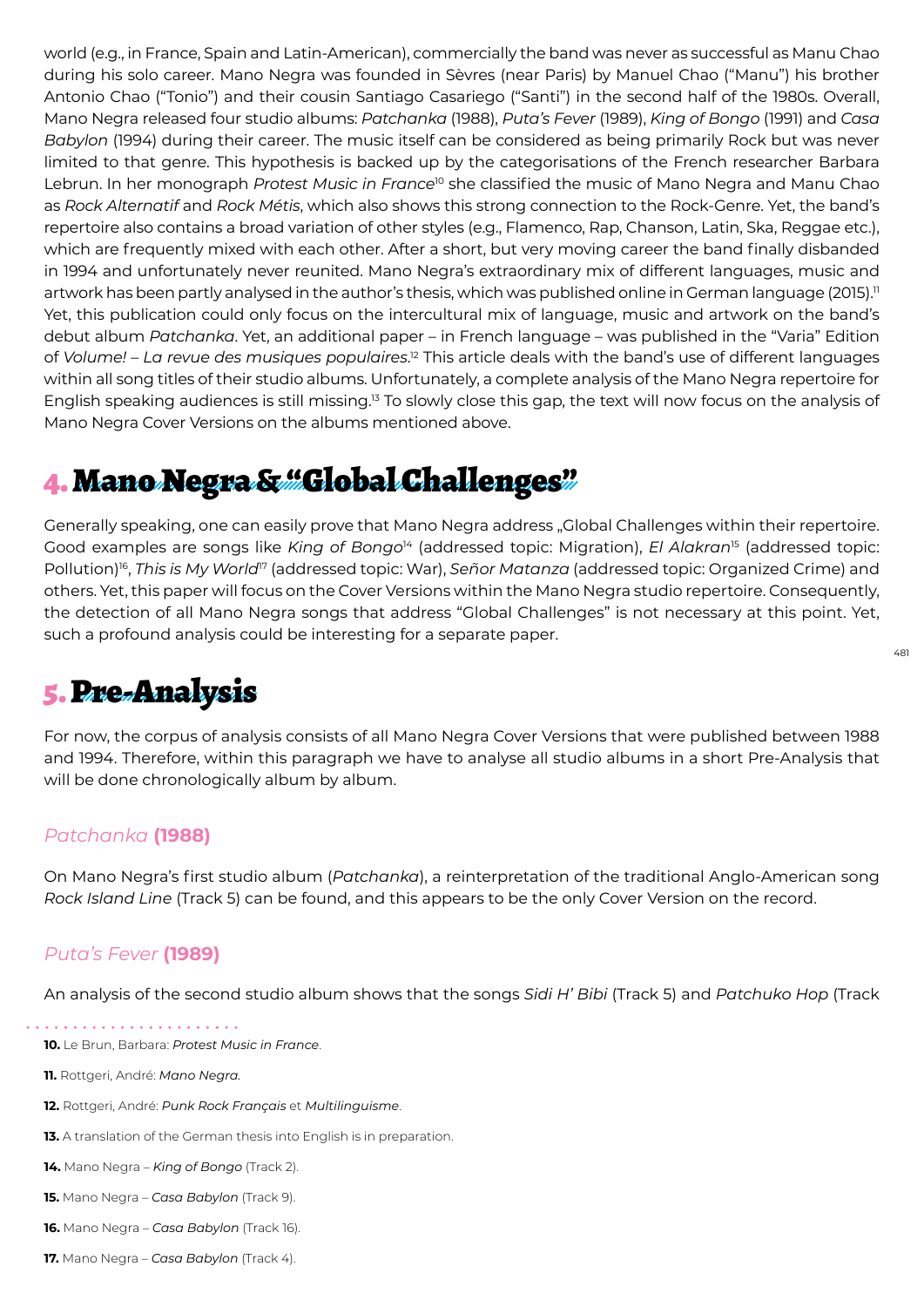world (e.g., in France, Spain and Latin-American), commercially the band was never as successful as Manu Chao during his solo career. Mano Negra was founded in Sèvres (near Paris) by Manuel Chao ("Manu") his brother Antonio Chao ("Tonio") and their cousin Santiago Casariego ("Santi") in the second half of the 1980s. Overall, Mano Negra released four studio albums: *Patchanka* (1988), *Puta's Fever* (1989), *King of Bongo* (1991) and *Casa Babylon* (1994) during their career. The music itself can be considered as being primarily Rock but was never limited to that genre. This hypothesis is backed up by the categorisations of the French researcher Barbara Lebrun. In her monograph *Protest Music in France*10 she classified the music of Mano Negra and Manu Chao as *Rock Alternatif* and *Rock Métis*, which also shows this strong connection to the Rock-Genre. Yet, the band's repertoire also contains a broad variation of other styles (e.g., Flamenco, Rap, Chanson, Latin, Ska, Reggae etc.), which are frequently mixed with each other. After a short, but very moving career the band finally disbanded in 1994 and unfortunately never reunited. Mano Negra's extraordinary mix of different languages, music and artwork has been partly analysed in the author's thesis, which was published online in German language (2015).<sup>11</sup> Yet, this publication could only focus on the intercultural mix of language, music and artwork on the band's debut album *Patchanka*. Yet, an additional paper – in French language – was published in the "Varia" Edition of *Volume! – La revue des musiques populaires*. <sup>12</sup> This article deals with the band's use of different languages within all song titles of their studio albums. Unfortunately, a complete analysis of the Mano Negra repertoire for English speaking audiences is still missing.<sup>13</sup> To slowly close this gap, the text will now focus on the analysis of Mano Negra Cover Versions on the albums mentioned above.

# 4. Mano Negra & "Global Challenges"

Generally speaking, one can easily prove that Mano Negra address "Global Challenges within their repertoire. Good examples are songs like *King of Bongo*14 (addressed topic: Migration), *El Alakran*15 (addressed topic: Pollution)16, *This is My World*17 (addressed topic: War), *Señor Matanza* (addressed topic: Organized Crime) and others. Yet, this paper will focus on the Cover Versions within the Mano Negra studio repertoire. Consequently, the detection of all Mano Negra songs that address "Global Challenges" is not necessary at this point. Yet, such a profound analysis could be interesting for a separate paper.

481

# 5. Pre-Analysis

For now, the corpus of analysis consists of all Mano Negra Cover Versions that were published between 1988 and 1994. Therefore, within this paragraph we have to analyse all studio albums in a short Pre-Analysis that will be done chronologically album by album.

### *Patchanka* **(1988)**

On Mano Negra's first studio album (*Patchanka*), a reinterpretation of the traditional Anglo-American song *Rock Island Line* (Track 5) can be found, and this appears to be the only Cover Version on the record.

### *Puta's Fever* **(1989)**

An analysis of the second studio album shows that the songs *Sidi H' Bibi* (Track 5) and *Patchuko Hop* (Track

. . . . . . . . . . . . . . .

**11.** Rottgeri, André: *Mano Negra.*

- **12.** Rottgeri, André: *Punk Rock Français* et *Multilinguisme*.
- **13.** A translation of the German thesis into English is in preparation.
- **14.** Mano Negra *King of Bongo* (Track 2).
- **15.** Mano Negra *Casa Babylon* (Track 9).
- **16.** Mano Negra *Casa Babylon* (Track 16).
- **17.** Mano Negra *Casa Babylon* (Track 4).

**<sup>10.</sup>** Le Brun, Barbara: *Protest Music in France*.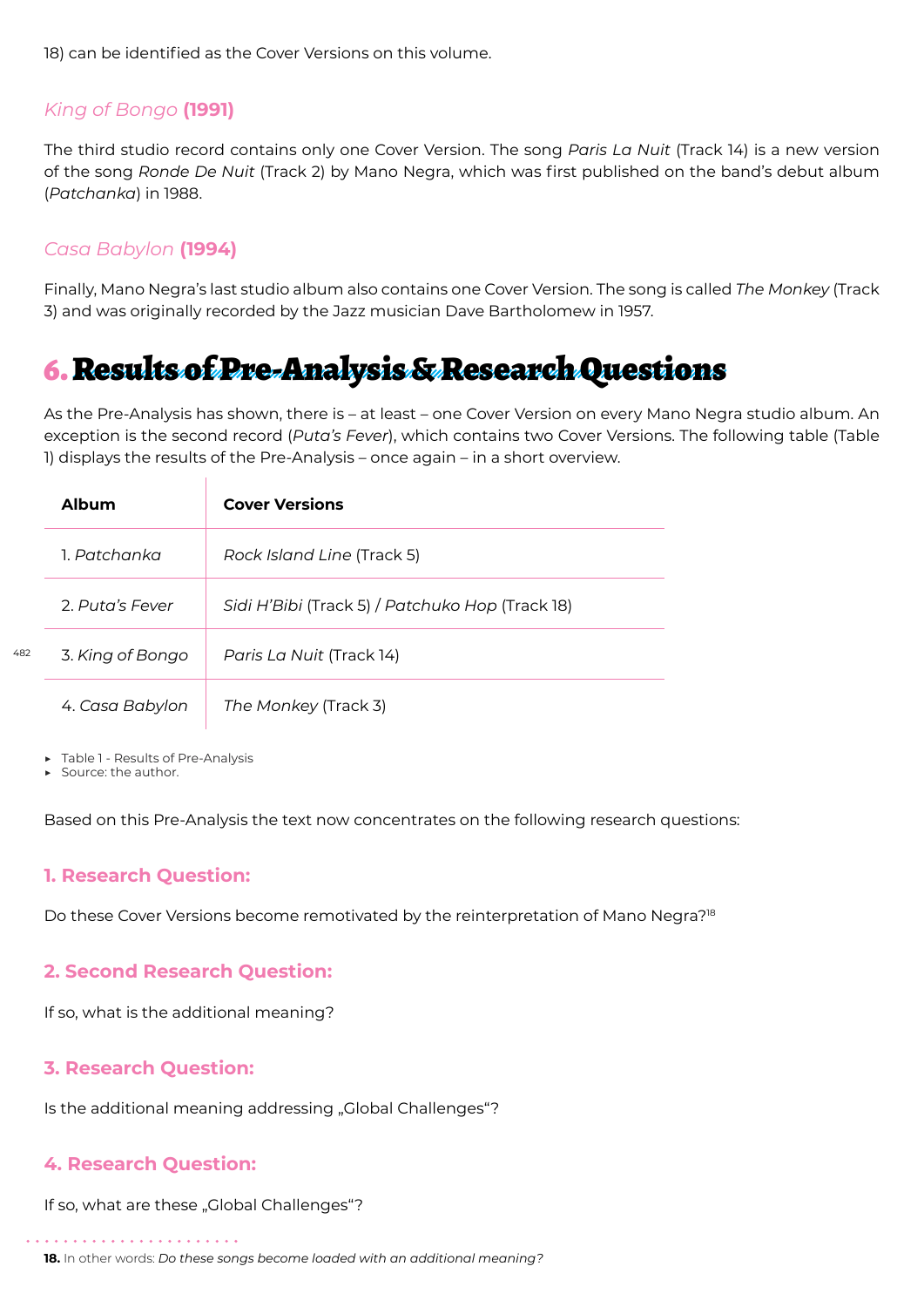18) can be identified as the Cover Versions on this volume.

### *King of Bongo* **(1991)**

The third studio record contains only one Cover Version. The song *Paris La Nuit* (Track 14) is a new version of the song *Ronde De Nuit* (Track 2) by Mano Negra, which was first published on the band's debut album (*Patchanka*) in 1988.

### *Casa Babylon* **(1994)**

Finally, Mano Negra's last studio album also contains one Cover Version. The song is called *The Monkey* (Track 3) and was originally recorded by the Jazz musician Dave Bartholomew in 1957.

## 6. Results of Pre-Analysis & Research Questions

As the Pre-Analysis has shown, there is – at least – one Cover Version on every Mano Negra studio album. An exception is the second record (*Puta's Fever*), which contains two Cover Versions. The following table (Table 1) displays the results of the Pre-Analysis – once again – in a short overview.

| Album            | <b>Cover Versions</b>                           |
|------------------|-------------------------------------------------|
| 1 Patchanka      | Rock Island Line (Track 5)                      |
| 2 Puta's Fever   | Sidi H'Bibi (Track 5) / Patchuko Hop (Track 18) |
| 3. King of Bongo | Paris La Nuit (Track 14)                        |
| 4. Casa Babylon  | The Monkey (Track 3)                            |

▶ Table 1 - Results of Pre-Analysis

Source: the author.

Based on this Pre-Analysis the text now concentrates on the following research questions:

### **1. Research Question:**

Do these Cover Versions become remotivated by the reinterpretation of Mano Negra?<sup>18</sup>

### **2. Second Research Question:**

If so, what is the additional meaning?

### **3. Research Question:**

Is the additional meaning addressing "Global Challenges"?

### **4. Research Question:**

If so, what are these "Global Challenges"?

```
18. In other words: Do these songs become loaded with an additional meaning?
```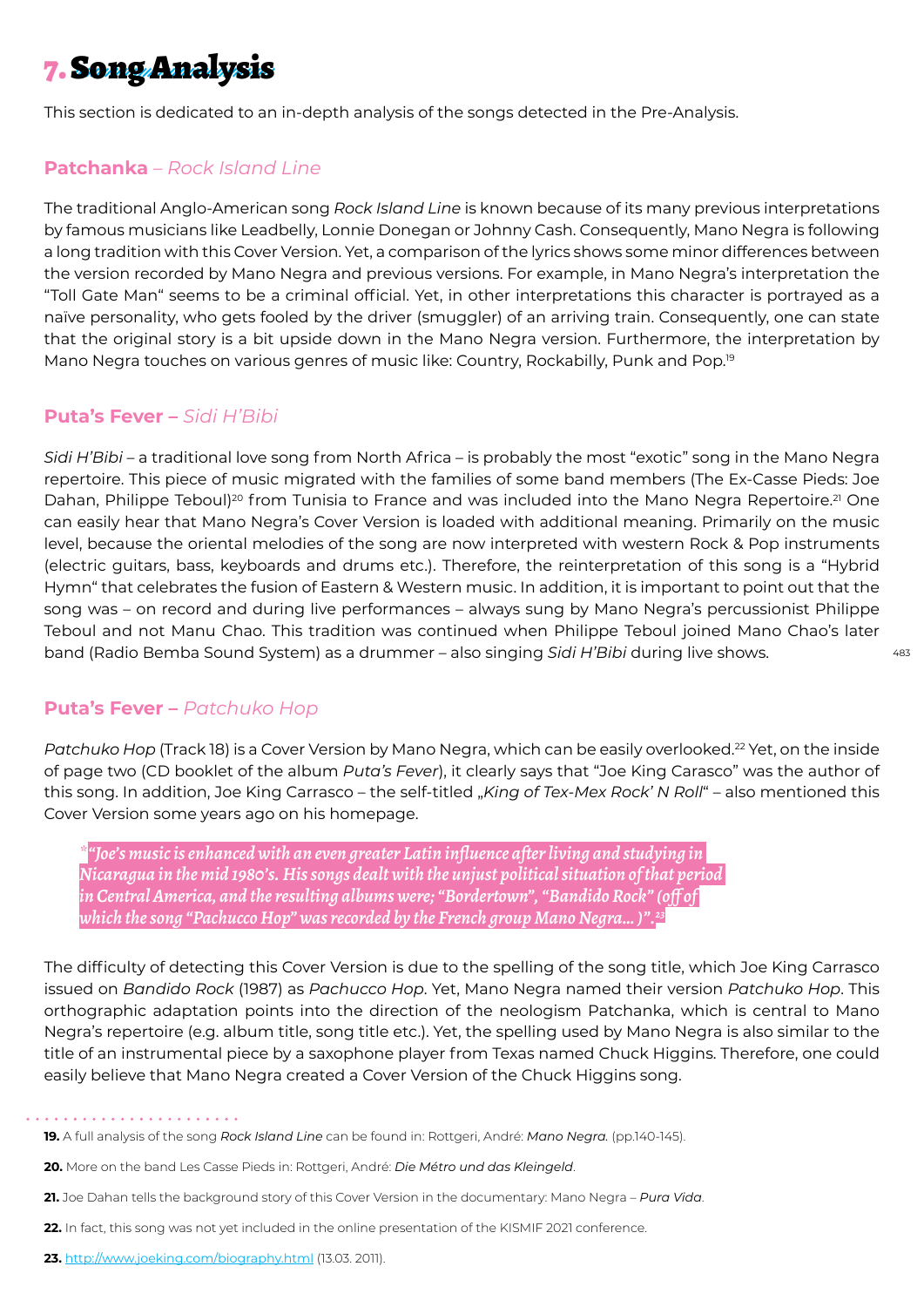# 7. Song Analysis

This section is dedicated to an in-depth analysis of the songs detected in the Pre-Analysis.

### **Patchanka** *– Rock Island Line*

The traditional Anglo-American song *Rock Island Line* is known because of its many previous interpretations by famous musicians like Leadbelly, Lonnie Donegan or Johnny Cash. Consequently, Mano Negra is following a long tradition with this Cover Version. Yet, a comparison of the lyrics shows some minor differences between the version recorded by Mano Negra and previous versions. For example, in Mano Negra's interpretation the "Toll Gate Man" seems to be a criminal official. Yet, in other interpretations this character is portrayed as a naïve personality, who gets fooled by the driver (smuggler) of an arriving train. Consequently, one can state that the original story is a bit upside down in the Mano Negra version. Furthermore, the interpretation by Mano Negra touches on various genres of music like: Country, Rockabilly, Punk and Pop.<sup>19</sup>

### **Puta's Fever –** *Sidi H'Bibi*

*Sidi H'Bibi* – a traditional love song from North Africa – is probably the most "exotic" song in the Mano Negra repertoire. This piece of music migrated with the families of some band members (The Ex-Casse Pieds: Joe Dahan, Philippe Teboul)<sup>20</sup> from Tunisia to France and was included into the Mano Negra Repertoire.<sup>21</sup> One can easily hear that Mano Negra's Cover Version is loaded with additional meaning. Primarily on the music level, because the oriental melodies of the song are now interpreted with western Rock & Pop instruments (electric guitars, bass, keyboards and drums etc.). Therefore, the reinterpretation of this song is a "Hybrid Hymn" that celebrates the fusion of Eastern & Western music. In addition, it is important to point out that the song was – on record and during live performances – always sung by Mano Negra's percussionist Philippe Teboul and not Manu Chao. This tradition was continued when Philippe Teboul joined Mano Chao's later band (Radio Bemba Sound System) as a drummer – also singing *Sidi H'Bibi* during live shows.

### **Puta's Fever –** *Patchuko Hop*

*Patchuko Hop* (Track 18) is a Cover Version by Mano Negra, which can be easily overlooked.22 Yet, on the inside of page two (CD booklet of the album *Puta's Fever*), it clearly says that "Joe King Carasco" was the author of this song. In addition, Joe King Carrasco – the self-titled "*King of Tex-Mex Rock' N Roll*" – also mentioned this Cover Version some years ago on his homepage.

*\*"Joe's music is enhanced with an even greater Latin influence after living and studying in Nicaragua in the mid 1980's. His songs dealt with the unjust political situation of that period in Central America, and the resulting albums were; "Bordertown", "Bandido Rock" (off of which the song "Pachucco Hop" was recorded by the French group Mano Negra… )".23*

The difficulty of detecting this Cover Version is due to the spelling of the song title, which Joe King Carrasco issued on *Bandido Rock* (1987) as *Pachucco Hop*. Yet, Mano Negra named their version *Patchuko Hop*. This orthographic adaptation points into the direction of the neologism Patchanka, which is central to Mano Negra's repertoire (e.g. album title, song title etc.). Yet, the spelling used by Mano Negra is also similar to the title of an instrumental piece by a saxophone player from Texas named Chuck Higgins. Therefore, one could easily believe that Mano Negra created a Cover Version of the Chuck Higgins song.

#### . . . . . . . . . . . . . . . . .

**<sup>19.</sup>** A full analysis of the song *Rock Island Line* can be found in: Rottgeri, André: *Mano Negra.* (pp.140-145).

**<sup>20.</sup>** More on the band Les Casse Pieds in: Rottgeri, André: *Die Métro und das Kleingeld*.

**<sup>21.</sup>** Joe Dahan tells the background story of this Cover Version in the documentary: Mano Negra – *Pura Vida*.

**<sup>22.</sup>** In fact, this song was not yet included in the online presentation of the KISMIF 2021 conference.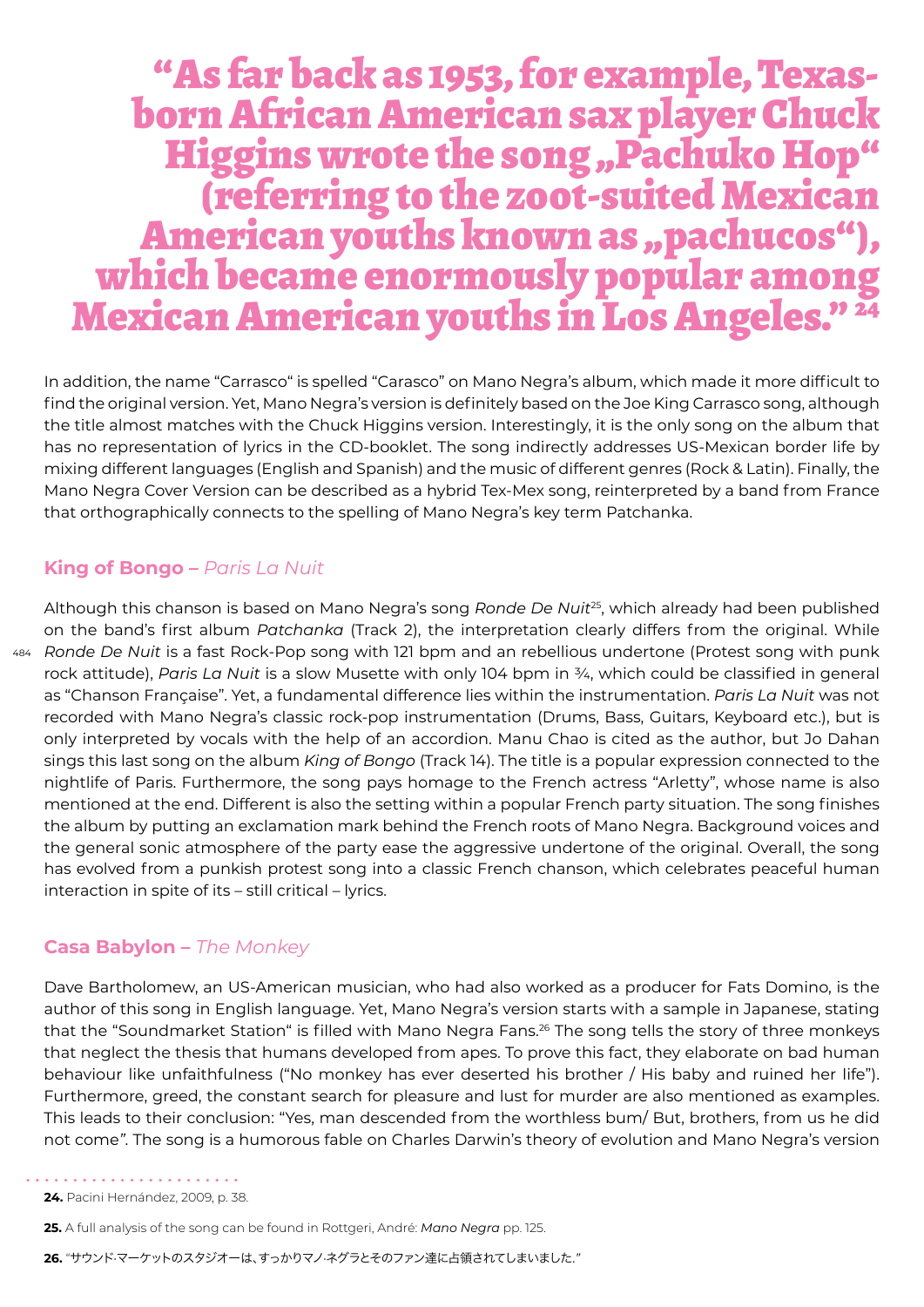# "As far back as 1953, for example, Texasborn African American sax player Chuck Higgins wrote the song "Pachuko Hop"<br>(referring to the zoot-suited Mexican (referring to the zoot-suited Mexican<br>American youths known as "pachucos"),<br>which became enormously popular among Mexican American youths in Los Angeles." <sup>24</sup>

In addition, the name "Carrasco" is spelled "Carasco" on Mano Negra's album, which made it more difficult to find the original version. Yet, Mano Negra's version is definitely based on the Joe King Carrasco song, although the title almost matches with the Chuck Higgins version. Interestingly, it is the only song on the album that has no representation of lyrics in the CD-booklet. The song indirectly addresses US-Mexican border life by mixing different languages (English and Spanish) and the music of different genres (Rock & Latin). Finally, the Mano Negra Cover Version can be described as a hybrid Tex-Mex song, reinterpreted by a band from France that orthographically connects to the spelling of Mano Negra's key term Patchanka.

### **King of Bongo –** *Paris La Nuit*

484 *Ronde De Nuit* is a fast Rock-Pop song with 121 bpm and an rebellious undertone (Protest song with punk Although this chanson is based on Mano Negra's song *Ronde De Nuit*25, which already had been published on the band's first album *Patchanka* (Track 2), the interpretation clearly differs from the original. While rock attitude), *Paris La Nuit* is a slow Musette with only 104 bpm in ¾, which could be classified in general as "Chanson Française". Yet, a fundamental difference lies within the instrumentation. *Paris La Nuit* was not recorded with Mano Negra's classic rock-pop instrumentation (Drums, Bass, Guitars, Keyboard etc.), but is only interpreted by vocals with the help of an accordion. Manu Chao is cited as the author, but Jo Dahan sings this last song on the album *King of Bongo* (Track 14). The title is a popular expression connected to the nightlife of Paris. Furthermore, the song pays homage to the French actress "Arletty", whose name is also mentioned at the end. Different is also the setting within a popular French party situation. The song finishes the album by putting an exclamation mark behind the French roots of Mano Negra. Background voices and the general sonic atmosphere of the party ease the aggressive undertone of the original. Overall, the song has evolved from a punkish protest song into a classic French chanson, which celebrates peaceful human interaction in spite of its – still critical – lyrics.

### **Casa Babylon –** *The Monkey*

Dave Bartholomew, an US-American musician, who had also worked as a producer for Fats Domino, is the author of this song in English language. Yet, Mano Negra's version starts with a sample in Japanese, stating that the "Soundmarket Station" is filled with Mano Negra Fans.<sup>26</sup> The song tells the story of three monkeys that neglect the thesis that humans developed from apes. To prove this fact, they elaborate on bad human behaviour like unfaithfulness ("No monkey has ever deserted his brother / His baby and ruined her life"). Furthermore, greed, the constant search for pleasure and lust for murder are also mentioned as examples. This leads to their conclusion: "Yes, man descended from the worthless bum/ But, brothers, from us he did not come*"*. The song is a humorous fable on Charles Darwin's theory of evolution and Mano Negra's version

**25.** A full analysis of the song can be found in Rottgeri, André: *Mano Negra* pp. 125.

**26.** "サウンド·マーケットのスタジオーは、すっかりマノ·ネグラとそのファン達に占領されてしまいました.*"*

<sup>. . . . . . . . . . . . . . . .</sup> **24.** Pacini Hernández, 2009, p. 38.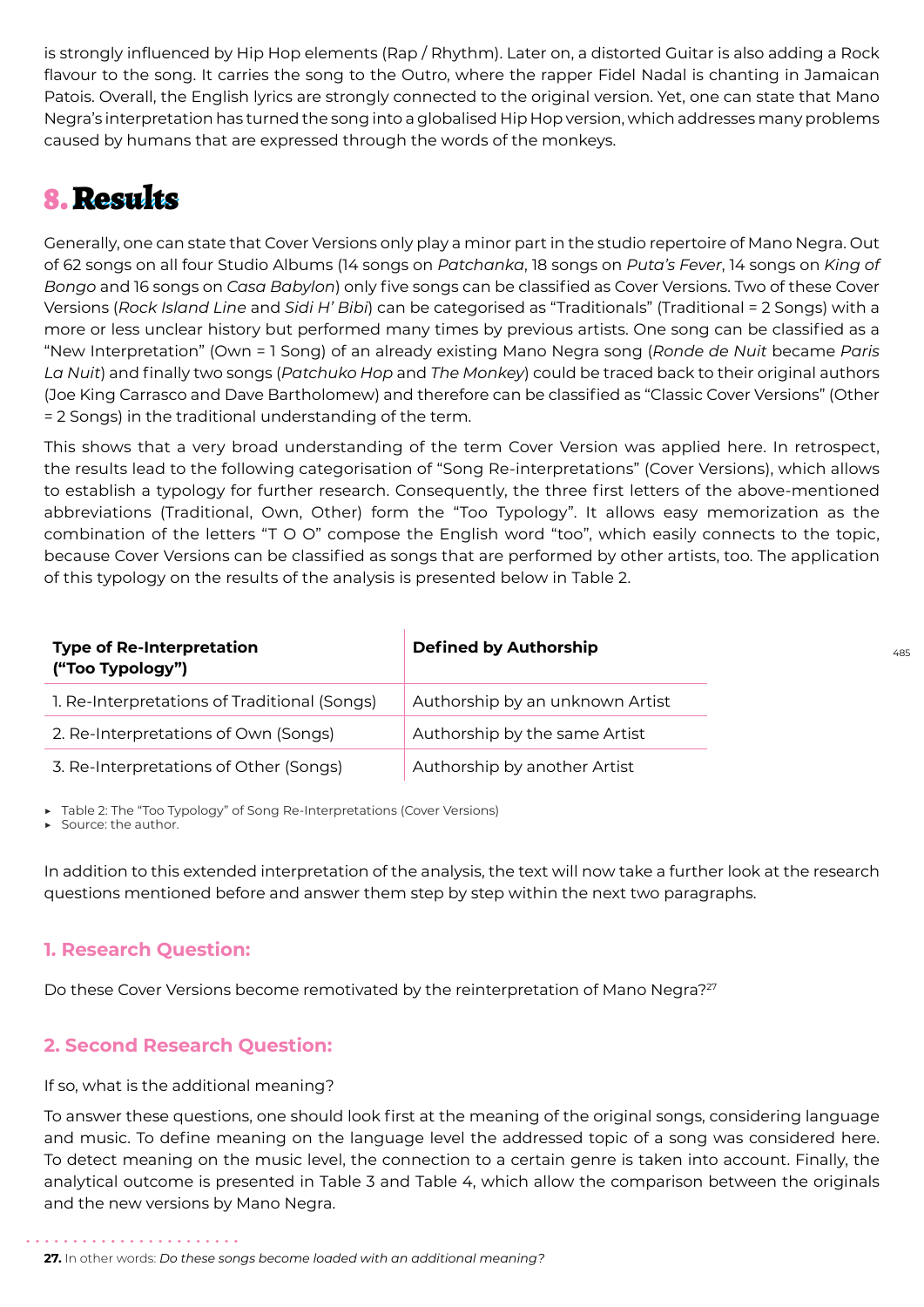is strongly influenced by Hip Hop elements (Rap / Rhythm). Later on, a distorted Guitar is also adding a Rock flavour to the song. It carries the song to the Outro, where the rapper Fidel Nadal is chanting in Jamaican Patois. Overall, the English lyrics are strongly connected to the original version. Yet, one can state that Mano Negra's interpretation has turned the song into a globalised Hip Hop version, which addresses many problems caused by humans that are expressed through the words of the monkeys.

# 8. Results

Generally, one can state that Cover Versions only play a minor part in the studio repertoire of Mano Negra. Out of 62 songs on all four Studio Albums (14 songs on *Patchanka*, 18 songs on *Puta's Fever*, 14 songs on *King of Bongo* and 16 songs on *Casa Babylon*) only five songs can be classified as Cover Versions. Two of these Cover Versions (*Rock Island Line* and *Sidi H' Bibi*) can be categorised as "Traditionals" (Traditional = 2 Songs) with a more or less unclear history but performed many times by previous artists. One song can be classified as a "New Interpretation" (Own = 1 Song) of an already existing Mano Negra song (*Ronde de Nuit* became *Paris La Nuit*) and finally two songs (*Patchuko Hop* and *The Monkey*) could be traced back to their original authors (Joe King Carrasco and Dave Bartholomew) and therefore can be classified as "Classic Cover Versions" (Other = 2 Songs) in the traditional understanding of the term.

This shows that a very broad understanding of the term Cover Version was applied here. In retrospect, the results lead to the following categorisation of "Song Re-interpretations" (Cover Versions), which allows to establish a typology for further research. Consequently, the three first letters of the above-mentioned abbreviations (Traditional, Own, Other) form the "Too Typology". It allows easy memorization as the combination of the letters "T O O" compose the English word "too", which easily connects to the topic, because Cover Versions can be classified as songs that are performed by other artists, too. The application of this typology on the results of the analysis is presented below in Table 2.

| <b>Type of Re-Interpretation</b><br>("Too Typology") | <b>Defined by Authorship</b>    |
|------------------------------------------------------|---------------------------------|
| 1. Re-Interpretations of Traditional (Songs)         | Authorship by an unknown Artist |
| 2. Re-Interpretations of Own (Songs)                 | Authorship by the same Artist   |
| 3. Re-Interpretations of Other (Songs)               | Authorship by another Artist    |

Table 2: The "Too Typology" of Song Re-Interpretations (Cover Versions)

Source: the author.

In addition to this extended interpretation of the analysis, the text will now take a further look at the research questions mentioned before and answer them step by step within the next two paragraphs.

### **1. Research Question:**

Do these Cover Versions become remotivated by the reinterpretation of Mano Negra?<sup>27</sup>

### **2. Second Research Question:**

### If so, what is the additional meaning?

To answer these questions, one should look first at the meaning of the original songs, considering language and music. To define meaning on the language level the addressed topic of a song was considered here. To detect meaning on the music level, the connection to a certain genre is taken into account. Finally, the analytical outcome is presented in Table 3 and Table 4, which allow the comparison between the originals and the new versions by Mano Negra.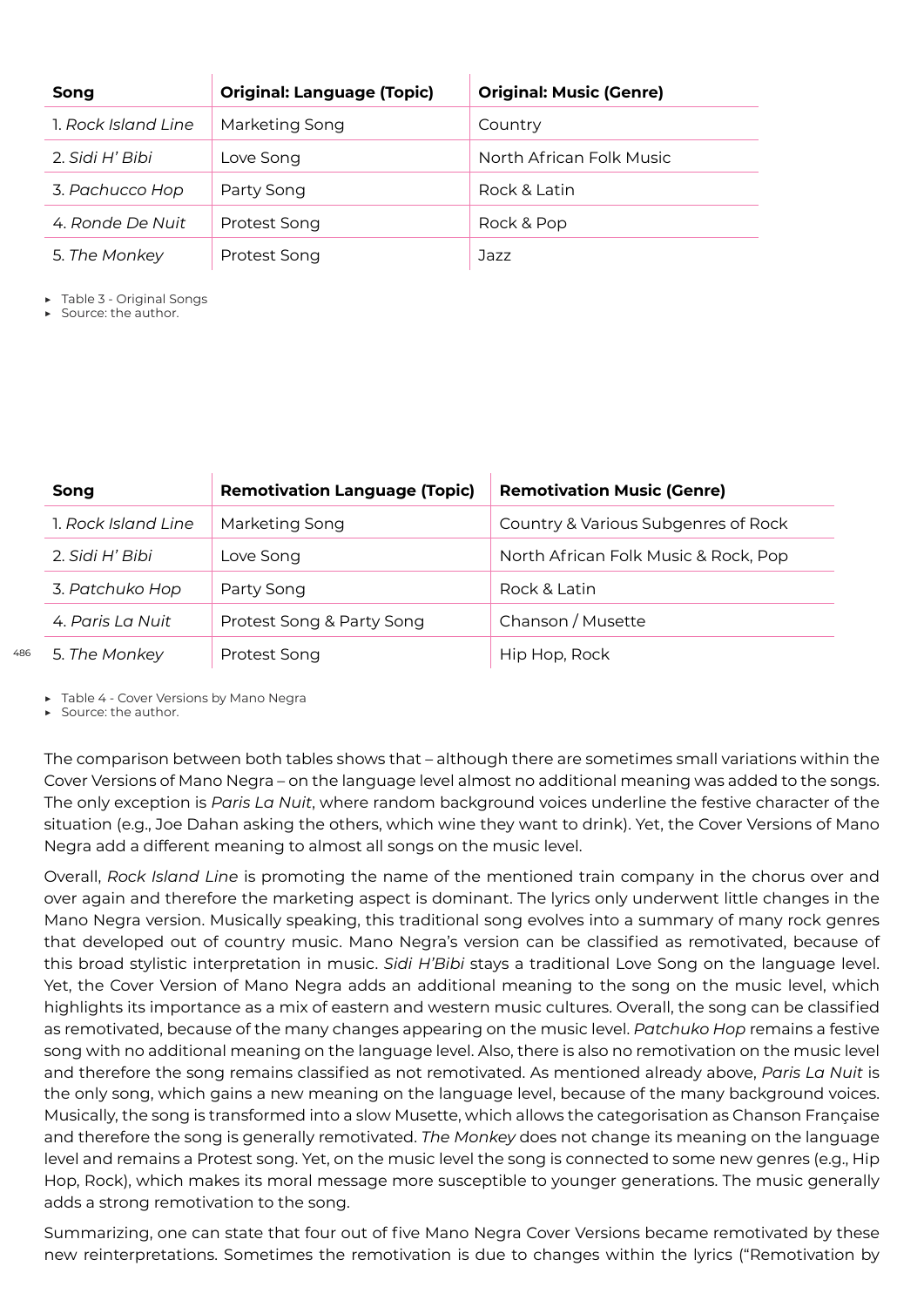| Song                | <b>Original: Language (Topic)</b> | <b>Original: Music (Genre)</b> |
|---------------------|-----------------------------------|--------------------------------|
| 1. Rock Island Line | Marketing Song                    | Country                        |
| 2. Sidi H' Bibi     | Love Song                         | North African Folk Music       |
| 3. Pachucco Hop     | Party Song                        | Rock & Latin                   |
| 4. Ronde De Nuit    | Protest Song                      | Rock & Pop                     |
| 5. The Monkey       | Protest Song                      | Jazz                           |

Table 3 - Original Songs

Source: the author.

| Song                | <b>Remotivation Language (Topic)</b> | <b>Remotivation Music (Genre)</b>    |
|---------------------|--------------------------------------|--------------------------------------|
| 1. Rock Island Line | Marketing Song                       | Country & Various Subgenres of Rock  |
| 2. Sidi H' Bibi     | Love Song                            | North African Folk Music & Rock, Pop |
| 3. Patchuko Hop     | Party Song                           | Rock & Latin                         |
| 4. Paris La Nuit    | Protest Song & Party Song            | Chanson / Musette                    |
| 5. The Monkey       | Protest Song                         | Hip Hop, Rock                        |

▶ Table 4 - Cover Versions by Mano Negra

▶ Source: the author.

486

The comparison between both tables shows that – although there are sometimes small variations within the Cover Versions of Mano Negra – on the language level almost no additional meaning was added to the songs. The only exception is *Paris La Nuit*, where random background voices underline the festive character of the situation (e.g., Joe Dahan asking the others, which wine they want to drink). Yet, the Cover Versions of Mano Negra add a different meaning to almost all songs on the music level.

Overall, *Rock Island Line* is promoting the name of the mentioned train company in the chorus over and over again and therefore the marketing aspect is dominant. The lyrics only underwent little changes in the Mano Negra version. Musically speaking, this traditional song evolves into a summary of many rock genres that developed out of country music. Mano Negra's version can be classified as remotivated, because of this broad stylistic interpretation in music. *Sidi H'Bibi* stays a traditional Love Song on the language level. Yet, the Cover Version of Mano Negra adds an additional meaning to the song on the music level, which highlights its importance as a mix of eastern and western music cultures. Overall, the song can be classified as remotivated, because of the many changes appearing on the music level. *Patchuko Hop* remains a festive song with no additional meaning on the language level. Also, there is also no remotivation on the music level and therefore the song remains classified as not remotivated. As mentioned already above, *Paris La Nuit* is the only song, which gains a new meaning on the language level, because of the many background voices. Musically, the song is transformed into a slow Musette, which allows the categorisation as Chanson Française and therefore the song is generally remotivated. *The Monkey* does not change its meaning on the language level and remains a Protest song. Yet, on the music level the song is connected to some new genres (e.g., Hip Hop, Rock), which makes its moral message more susceptible to younger generations. The music generally adds a strong remotivation to the song.

Summarizing, one can state that four out of five Mano Negra Cover Versions became remotivated by these new reinterpretations. Sometimes the remotivation is due to changes within the lyrics ("Remotivation by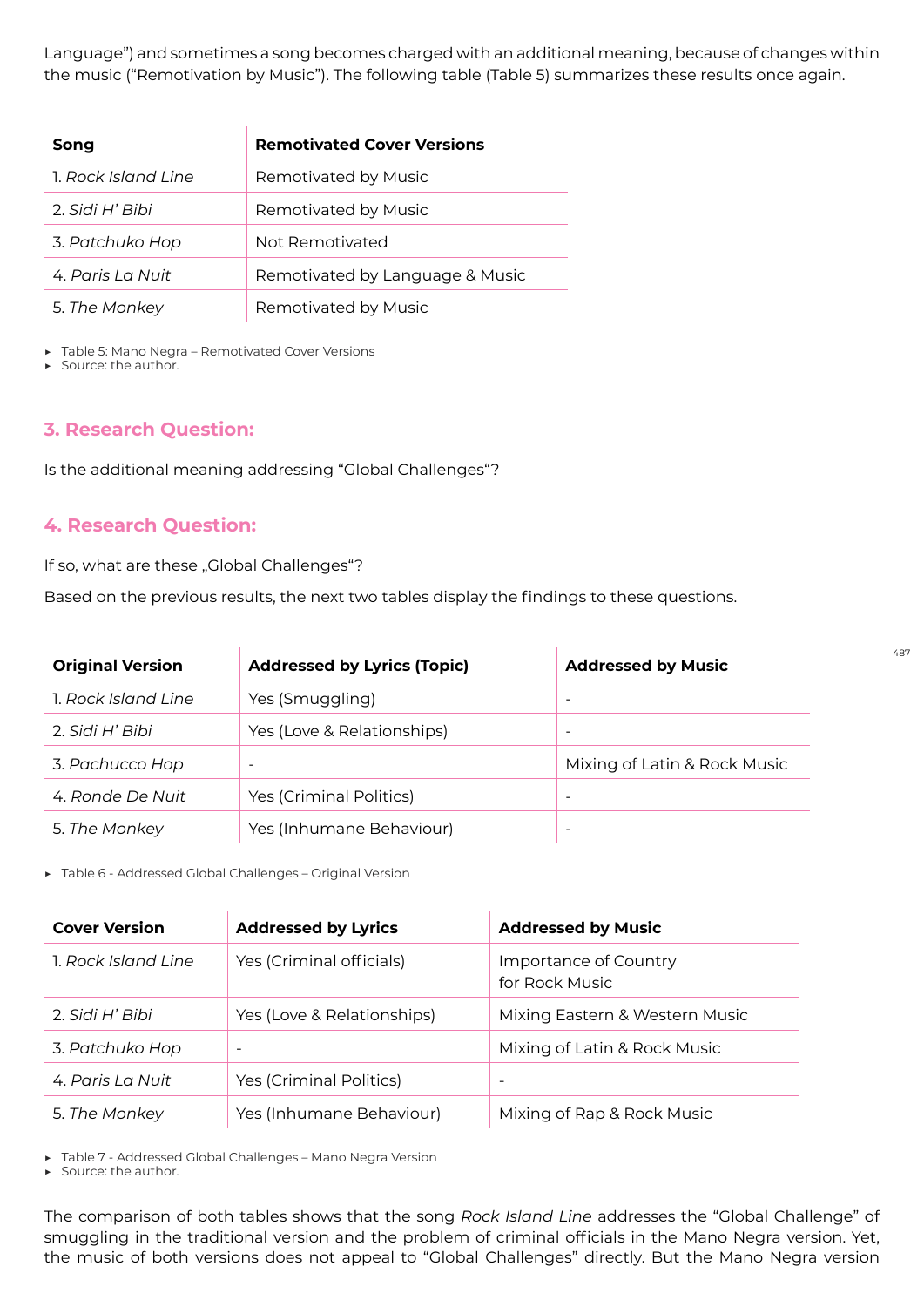Language") and sometimes a song becomes charged with an additional meaning, because of changes within the music ("Remotivation by Music"). The following table (Table 5) summarizes these results once again.

| Song                | <b>Remotivated Cover Versions</b> |
|---------------------|-----------------------------------|
| 1. Rock Island Line | Remotivated by Music              |
| 2. Sidi H' Bibi     | Remotivated by Music              |
| 3. Patchuko Hop     | Not Remotivated                   |
| 4. Paris La Nuit    | Remotivated by Language & Music   |
| 5. The Monkey       | Remotivated by Music              |

Table 5: Mano Negra - Remotivated Cover Versions

Source: the author.

### **3. Research Question:**

Is the additional meaning addressing "Global Challenges"?

### **4. Research Question:**

If so, what are these "Global Challenges"?

Based on the previous results, the next two tables display the findings to these questions.

| <b>Original Version</b> | <b>Addressed by Lyrics (Topic)</b> | <b>Addressed by Music</b>    |
|-------------------------|------------------------------------|------------------------------|
| 1. Rock Island Line     | Yes (Smuggling)                    | -                            |
| 2. Sidi H' Bibi         | Yes (Love & Relationships)         |                              |
| 3. Pachucco Hop         | -                                  | Mixing of Latin & Rock Music |
| 4. Ronde De Nuit        | Yes (Criminal Politics)            |                              |
| 5. The Monkey           | Yes (Inhumane Behaviour)           | -                            |

▶ Table 6 - Addressed Global Challenges – Original Version

| <b>Cover Version</b> | <b>Addressed by Lyrics</b> | <b>Addressed by Music</b>               |
|----------------------|----------------------------|-----------------------------------------|
| 1. Rock Island Line  | Yes (Criminal officials)   | Importance of Country<br>for Rock Music |
| 2. Sidi H' Bibi      | Yes (Love & Relationships) | Mixing Eastern & Western Music          |
| 3. Patchuko Hop      |                            | Mixing of Latin & Rock Music            |
| 4. Paris La Nuit     | Yes (Criminal Politics)    | $\qquad \qquad \blacksquare$            |
| 5. The Monkey        | Yes (Inhumane Behaviour)   | Mixing of Rap & Rock Music              |

▶ Table 7 - Addressed Global Challenges – Mano Negra Version

Source: the author.

The comparison of both tables shows that the song *Rock Island Line* addresses the "Global Challenge" of smuggling in the traditional version and the problem of criminal officials in the Mano Negra version. Yet, the music of both versions does not appeal to "Global Challenges" directly. But the Mano Negra version